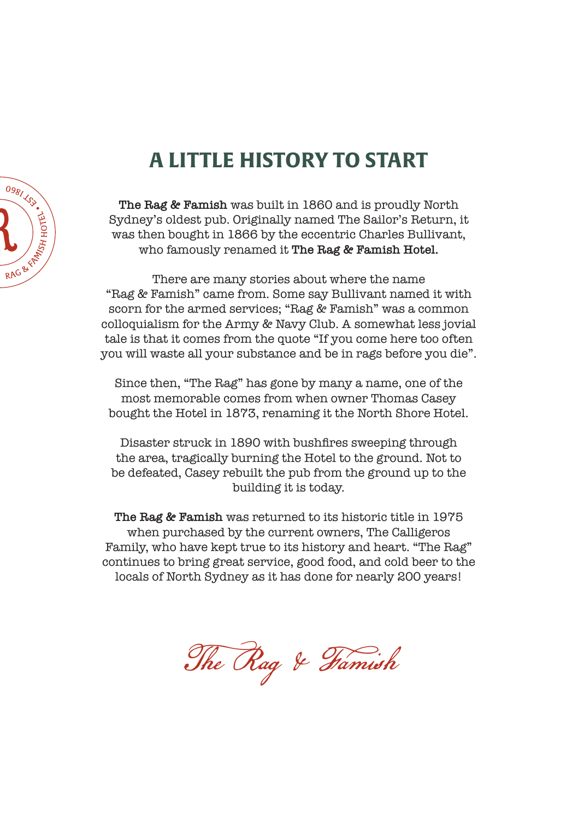# **A LITTLE HISTORY TO START**



**The Rag & Famish** was built in 1860 and is proudly North Sydney's oldest pub. Originally named The Sailor's Return, it was then bought in 1866 by the eccentric Charles Bullivant, who famously renamed it **The Rag & Famish Hotel.**

There are many stories about where the name "Rag & Famish" came from. Some say Bullivant named it with scorn for the armed services; "Rag & Famish" was a common colloquialism for the Army & Navy Club. A somewhat less jovial tale is that it comes from the quote "If you come here too often you will waste all your substance and be in rags before you die".

Since then, "The Rag" has gone by many a name, one of the most memorable comes from when owner Thomas Casey bought the Hotel in 1873, renaming it the North Shore Hotel.

Disaster struck in 1890 with bushfires sweeping through the area, tragically burning the Hotel to the ground. Not to be defeated, Casey rebuilt the pub from the ground up to the building it is today.

**The Rag & Famish** was returned to its historic title in 1975 when purchased by the current owners, The Calligeros Family, who have kept true to its history and heart. "The Rag" continues to bring great service, good food, and cold beer to the locals of North Sydney as it has done for nearly 200 years!

The Rag & Famish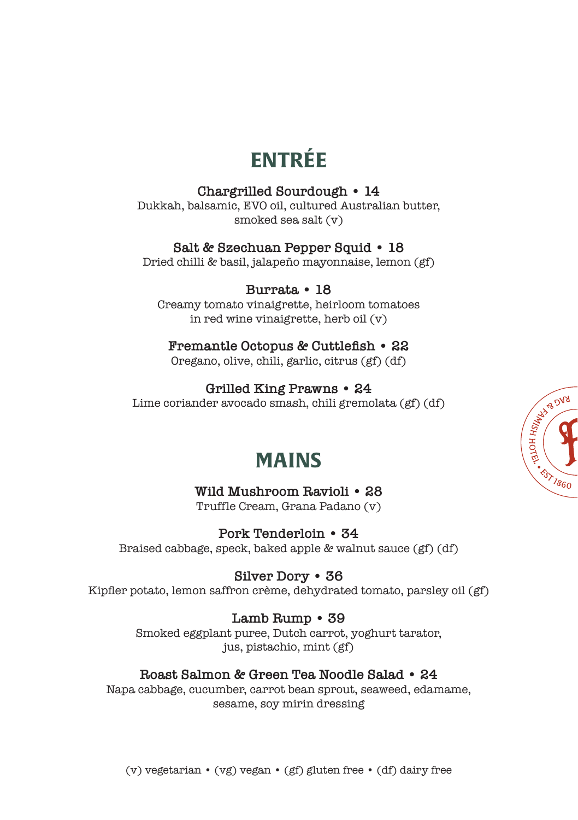# **ENTRÉE**

### **Chargrilled Sourdough • 14**

Dukkah, balsamic, EVO oil, cultured Australian butter, smoked sea salt (v)

### **Salt & Szechuan Pepper Squid • 18**

Dried chilli & basil, jalapeño mayonnaise, lemon (gf)

**Burrata • 18** Creamy tomato vinaigrette, heirloom tomatoes in red wine vinaigrette, herb oil (v)

#### **Fremantle Octopus & Cuttlefish • 22** Oregano, olive, chili, garlic, citrus (gf) (df)

**Grilled King Prawns • 24** Lime coriander avocado smash, chili gremolata (gf) (df)



## **MAINS**

**Wild Mushroom Ravioli • 28** Truffle Cream, Grana Padano (v)

**Pork Tenderloin • 34** Braised cabbage, speck, baked apple & walnut sauce (gf) (df)

**Silver Dory • 36** Kipfler potato, lemon saffron crème, dehydrated tomato, parsley oil (gf)

## **Lamb Rump • 39**

Smoked eggplant puree, Dutch carrot, yoghurt tarator, jus, pistachio, mint (gf)

## **Roast Salmon & Green Tea Noodle Salad • 24**

Napa cabbage, cucumber, carrot bean sprout, seaweed, edamame, sesame, soy mirin dressing

(v) vegetarian • (vg) vegan • (gf) gluten free • (df) dairy free